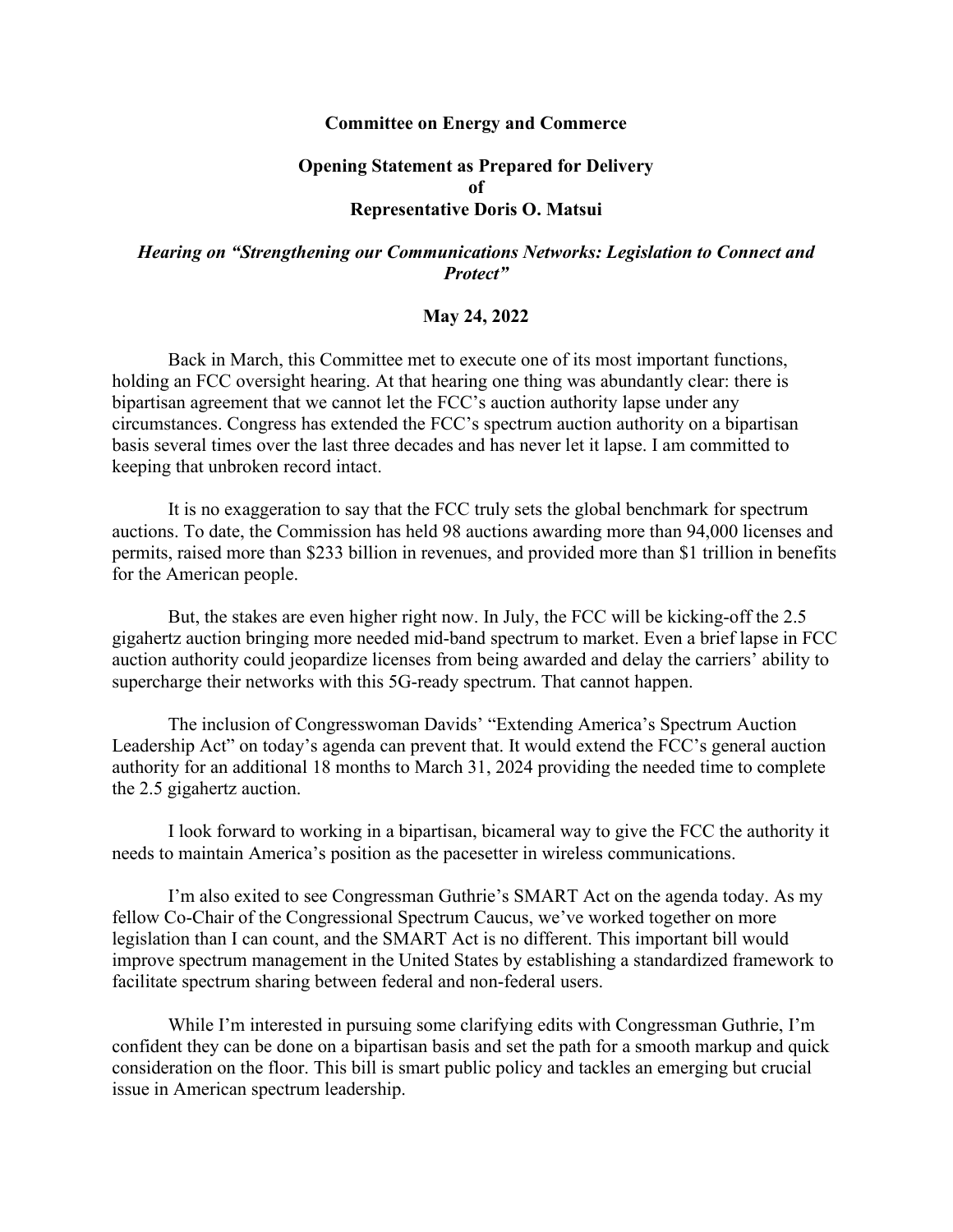## **Committee on Energy and Commerce**

## **Opening Statement as Prepared for Delivery of Representative Doris O. Matsui**

## *Hearing on "Strengthening our Communications Networks: Legislation to Connect and Protect"*

## **May 24, 2022**

Back in March, this Committee met to execute one of its most important functions, holding an FCC oversight hearing. At that hearing one thing was abundantly clear: there is bipartisan agreement that we cannot let the FCC's auction authority lapse under any circumstances. Congress has extended the FCC's spectrum auction authority on a bipartisan basis several times over the last three decades and has never let it lapse. I am committed to keeping that unbroken record intact.

It is no exaggeration to say that the FCC truly sets the global benchmark for spectrum auctions. To date, the Commission has held 98 auctions awarding more than 94,000 licenses and permits, raised more than \$233 billion in revenues, and provided more than \$1 trillion in benefits for the American people.

But, the stakes are even higher right now. In July, the FCC will be kicking-off the 2.5 gigahertz auction bringing more needed mid-band spectrum to market. Even a brief lapse in FCC auction authority could jeopardize licenses from being awarded and delay the carriers' ability to supercharge their networks with this 5G-ready spectrum. That cannot happen.

The inclusion of Congresswoman Davids' "Extending America's Spectrum Auction Leadership Act" on today's agenda can prevent that. It would extend the FCC's general auction authority for an additional 18 months to March 31, 2024 providing the needed time to complete the 2.5 gigahertz auction.

I look forward to working in a bipartisan, bicameral way to give the FCC the authority it needs to maintain America's position as the pacesetter in wireless communications.

I'm also exited to see Congressman Guthrie's SMART Act on the agenda today. As my fellow Co-Chair of the Congressional Spectrum Caucus, we've worked together on more legislation than I can count, and the SMART Act is no different. This important bill would improve spectrum management in the United States by establishing a standardized framework to facilitate spectrum sharing between federal and non-federal users.

While I'm interested in pursuing some clarifying edits with Congressman Guthrie, I'm confident they can be done on a bipartisan basis and set the path for a smooth markup and quick consideration on the floor. This bill is smart public policy and tackles an emerging but crucial issue in American spectrum leadership.